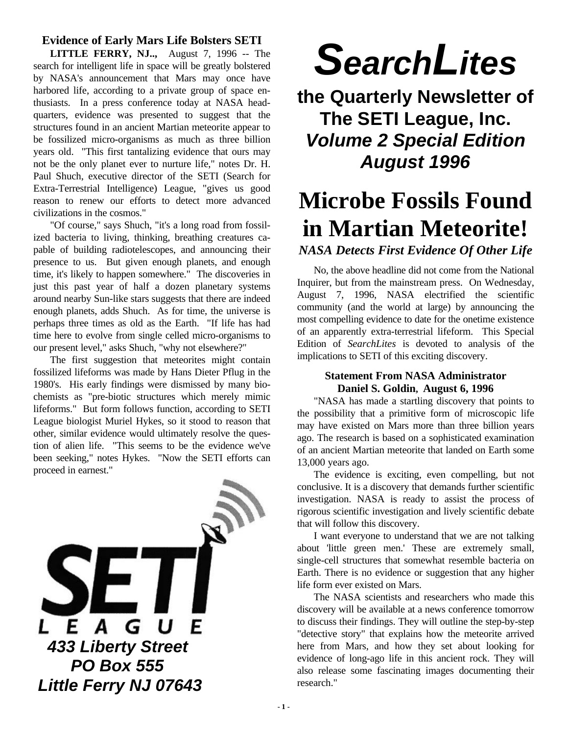## **Evidence of Early Mars Life Bolsters SETI**

**LITTLE FERRY, NJ..,** August 7, 1996 -- The search for intelligent life in space will be greatly bolstered by NASA's announcement that Mars may once have harbored life, according to a private group of space enthusiasts. In a press conference today at NASA headquarters, evidence was presented to suggest that the structures found in an ancient Martian meteorite appear to be fossilized micro-organisms as much as three billion years old. "This first tantalizing evidence that ours may not be the only planet ever to nurture life," notes Dr. H. Paul Shuch, executive director of the SETI (Search for Extra-Terrestrial Intelligence) League, "gives us good reason to renew our efforts to detect more advanced civilizations in the cosmos."

"Of course," says Shuch, "it's a long road from fossilized bacteria to living, thinking, breathing creatures capable of building radiotelescopes, and announcing their presence to us. But given enough planets, and enough time, it's likely to happen somewhere." The discoveries in just this past year of half a dozen planetary systems around nearby Sun-like stars suggests that there are indeed enough planets, adds Shuch. As for time, the universe is perhaps three times as old as the Earth. "If life has had time here to evolve from single celled micro-organisms to our present level," asks Shuch, "why not elsewhere?"

The first suggestion that meteorites might contain fossilized lifeforms was made by Hans Dieter Pflug in the 1980's. His early findings were dismissed by many biochemists as "pre-biotic structures which merely mimic lifeforms." But form follows function, according to SETI League biologist Muriel Hykes, so it stood to reason that other, similar evidence would ultimately resolve the question of alien life. "This seems to be the evidence we've been seeking," notes Hykes. "Now the SETI efforts can proceed in earnest."



# *SearchLites*

**the Quarterly Newsletter of The SETI League, Inc.** *Volume 2 Special Edition August 1996*

## **Microbe Fossils Found in Martian Meteorite!** *NASA Detects First Evidence Of Other Life*

No, the above headline did not come from the National Inquirer, but from the mainstream press. On Wednesday, August 7, 1996, NASA electrified the scientific community (and the world at large) by announcing the most compelling evidence to date for the onetime existence of an apparently extra-terrestrial lifeform. This Special Edition of *SearchLites* is devoted to analysis of the implications to SETI of this exciting discovery.

### **Statement From NASA Administrator Daniel S. Goldin, August 6, 1996**

"NASA has made a startling discovery that points to the possibility that a primitive form of microscopic life may have existed on Mars more than three billion years ago. The research is based on a sophisticated examination of an ancient Martian meteorite that landed on Earth some 13,000 years ago.

The evidence is exciting, even compelling, but not conclusive. It is a discovery that demands further scientific investigation. NASA is ready to assist the process of rigorous scientific investigation and lively scientific debate that will follow this discovery.

I want everyone to understand that we are not talking about 'little green men.' These are extremely small, single-cell structures that somewhat resemble bacteria on Earth. There is no evidence or suggestion that any higher life form ever existed on Mars.

The NASA scientists and researchers who made this discovery will be available at a news conference tomorrow to discuss their findings. They will outline the step-by-step "detective story" that explains how the meteorite arrived here from Mars, and how they set about looking for evidence of long-ago life in this ancient rock. They will also release some fascinating images documenting their research."

**- 1 -**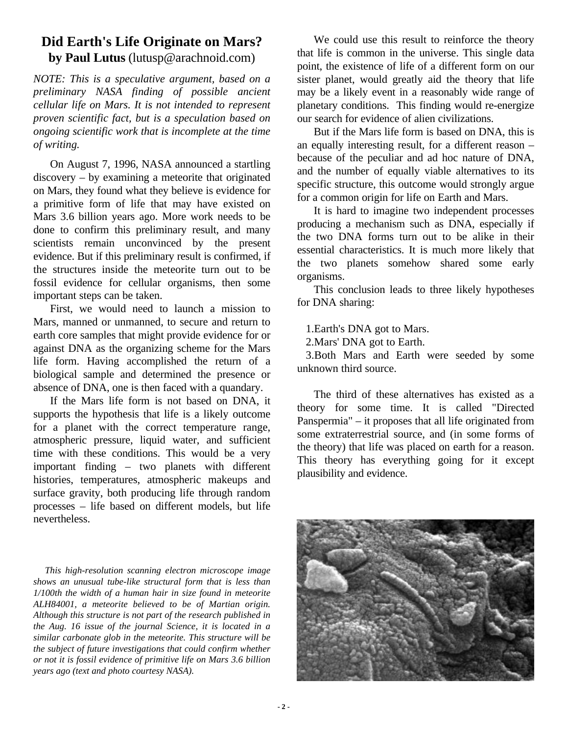## **Did Earth's Life Originate on Mars? by Paul Lutus** (lutusp@arachnoid.com)

*NOTE: This is a speculative argument, based on a preliminary NASA finding of possible ancient cellular life on Mars. It is not intended to represent proven scientific fact, but is a speculation based on ongoing scientific work that is incomplete at the time of writing.*

On August 7, 1996, NASA announced a startling discovery – by examining a meteorite that originated on Mars, they found what they believe is evidence for a primitive form of life that may have existed on Mars 3.6 billion years ago. More work needs to be done to confirm this preliminary result, and many scientists remain unconvinced by the present evidence. But if this preliminary result is confirmed, if the structures inside the meteorite turn out to be fossil evidence for cellular organisms, then some important steps can be taken.

First, we would need to launch a mission to Mars, manned or unmanned, to secure and return to earth core samples that might provide evidence for or against DNA as the organizing scheme for the Mars life form. Having accomplished the return of a biological sample and determined the presence or absence of DNA, one is then faced with a quandary.

If the Mars life form is not based on DNA, it supports the hypothesis that life is a likely outcome for a planet with the correct temperature range, atmospheric pressure, liquid water, and sufficient time with these conditions. This would be a very important finding – two planets with different histories, temperatures, atmospheric makeups and surface gravity, both producing life through random processes – life based on different models, but life nevertheless.

 *This high-resolution scanning electron microscope image shows an unusual tube-like structural form that is less than 1/100th the width of a human hair in size found in meteorite ALH84001, a meteorite believed to be of Martian origin. Although this structure is not part of the research published in the Aug. 16 issue of the journal Science, it is located in a similar carbonate glob in the meteorite. This structure will be the subject of future investigations that could confirm whether or not it is fossil evidence of primitive life on Mars 3.6 billion years ago (text and photo courtesy NASA).*

We could use this result to reinforce the theory that life is common in the universe. This single data point, the existence of life of a different form on our sister planet, would greatly aid the theory that life may be a likely event in a reasonably wide range of planetary conditions. This finding would re-energize our search for evidence of alien civilizations.

But if the Mars life form is based on DNA, this is an equally interesting result, for a different reason – because of the peculiar and ad hoc nature of DNA, and the number of equally viable alternatives to its specific structure, this outcome would strongly argue for a common origin for life on Earth and Mars.

It is hard to imagine two independent processes producing a mechanism such as DNA, especially if the two DNA forms turn out to be alike in their essential characteristics. It is much more likely that the two planets somehow shared some early organisms.

This conclusion leads to three likely hypotheses for DNA sharing:

1.Earth's DNA got to Mars.

2.Mars' DNA got to Earth.

 3.Both Mars and Earth were seeded by some unknown third source.

The third of these alternatives has existed as a theory for some time. It is called "Directed Panspermia" – it proposes that all life originated from some extraterrestrial source, and (in some forms of the theory) that life was placed on earth for a reason. This theory has everything going for it except plausibility and evidence.

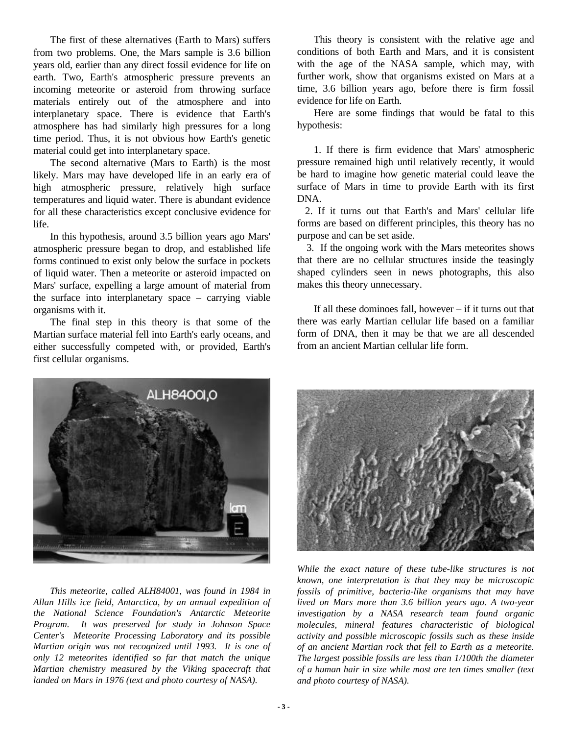The first of these alternatives (Earth to Mars) suffers from two problems. One, the Mars sample is 3.6 billion years old, earlier than any direct fossil evidence for life on earth. Two, Earth's atmospheric pressure prevents an incoming meteorite or asteroid from throwing surface materials entirely out of the atmosphere and into interplanetary space. There is evidence that Earth's atmosphere has had similarly high pressures for a long time period. Thus, it is not obvious how Earth's genetic material could get into interplanetary space.

The second alternative (Mars to Earth) is the most likely. Mars may have developed life in an early era of high atmospheric pressure, relatively high surface temperatures and liquid water. There is abundant evidence for all these characteristics except conclusive evidence for life.

In this hypothesis, around 3.5 billion years ago Mars' atmospheric pressure began to drop, and established life forms continued to exist only below the surface in pockets of liquid water. Then a meteorite or asteroid impacted on Mars' surface, expelling a large amount of material from the surface into interplanetary space – carrying viable organisms with it.

The final step in this theory is that some of the Martian surface material fell into Earth's early oceans, and either successfully competed with, or provided, Earth's first cellular organisms.

This theory is consistent with the relative age and conditions of both Earth and Mars, and it is consistent with the age of the NASA sample, which may, with further work, show that organisms existed on Mars at a time, 3.6 billion years ago, before there is firm fossil evidence for life on Earth.

Here are some findings that would be fatal to this hypothesis:

1. If there is firm evidence that Mars' atmospheric pressure remained high until relatively recently, it would be hard to imagine how genetic material could leave the surface of Mars in time to provide Earth with its first DNA.

 2. If it turns out that Earth's and Mars' cellular life forms are based on different principles, this theory has no purpose and can be set aside.

 3. If the ongoing work with the Mars meteorites shows that there are no cellular structures inside the teasingly shaped cylinders seen in news photographs, this also makes this theory unnecessary.

If all these dominoes fall, however – if it turns out that there was early Martian cellular life based on a familiar form of DNA, then it may be that we are all descended from an ancient Martian cellular life form.



*This meteorite, called ALH84001, was found in 1984 in Allan Hills ice field, Antarctica, by an annual expedition of the National Science Foundation's Antarctic Meteorite Program. It was preserved for study in Johnson Space Center's Meteorite Processing Laboratory and its possible Martian origin was not recognized until 1993. It is one of only 12 meteorites identified so far that match the unique Martian chemistry measured by the Viking spacecraft that landed on Mars in 1976 (text and photo courtesy of NASA).*



*While the exact nature of these tube-like structures is not known, one interpretation is that they may be microscopic fossils of primitive, bacteria-like organisms that may have lived on Mars more than 3.6 billion years ago. A two-year investigation by a NASA research team found organic molecules, mineral features characteristic of biological activity and possible microscopic fossils such as these inside of an ancient Martian rock that fell to Earth as a meteorite. The largest possible fossils are less than 1/100th the diameter of a human hair in size while most are ten times smaller (text and photo courtesy of NASA).*